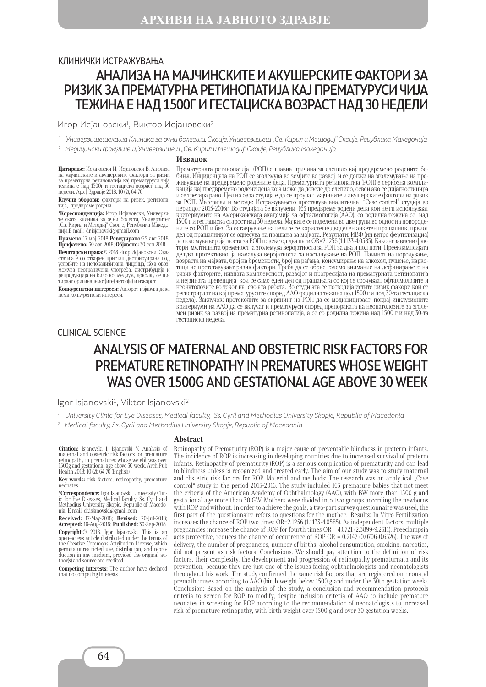# АНАЛИЗА НА МАЈЧИНСКИТЕ И АКУШЕРСКИТЕ ФАКТОРИ ЗА РИЗИК ЗА ПРЕМАТУРНА РЕТИНОПАТИЈА КАЈ ПРЕМАТУРУСИ ЧИЈА ТЕЖИНА Е НАД 1500Г И ГЕСТАЦИСКА ВОЗРАСТ НАД 30 НЕДЕЛИ КЛИНИЧКИ ИСТРАЖУВАЊА

Игор Исјановски<sup>1</sup>, Виктор Исјановски<sup>2</sup>

1 Универзитетската Клиника за очни болести, Скопје, Универзитет "Св. Кирил и Методиј" Скопје, Република Македонија

 $^2$  Медицински факул $\overline{\mathrm{u}}$ е $\overline{\mathrm{u}}$ , Универзи $\overline{\mathrm{u}}$ е $\overline{\mathrm{u}}$  "Св. Кирил и Ме $\overline{\mathrm{u}}$ одиј" Ско $\overline{\mathrm{u}}$ је, Ре $\overline{\mathrm{u}}$ ублика Македонија

#### **Извадок**

**Цитирање:** Исјановски И, Исјановски В. Анализа на мајчинските и акушерските фактори за ризик за прематурна ретинопатија кај прематуруси чија тежина е над 1500г и гестациска возраст над 30 недели. Арх Ј Здравје 2018: 10 (2); 64-70

**Клучни зборови:** фактори на ризик, ретинопа- тија, предвреме родени

**\*Кореспонденција:** Игор Исјановски, Универзи-<br>тетската клиника за очни болести, Универзитет<br>"Св. Кирил и Методиј" Скопје, Република Македонија.Е-mail: dr.isjanovski@gmail.com

**Примено:**17-мај-2018;**Ревидирано:**25-авг-2018; **Прифатено:** 30-авг-2018; **Објавено:** 30-сеп-2018

**Печатарски права:**© 2018 Игор Исјановски. Оваа статија е со отворен пристап дистрибуирана под условите на нелокализирана лиценца, која овозможува неограничена употреба, дистрибуција и репродукција на било кој медиум, доколку се ци- тираат оригиналниот(ите) автор(и) и изворот

**Конкурентски интереси:** Авторот изјавува дека нема конкурентски интереси.

Прематурната ретинопатија (РОП) е главна причина за слепило кај предвремено родените бебиња. Инциденцата на РОП се зголемува во земјите во развој и се должи на зголемување на преживување на предвремено родените деца. Прематурната ретинопaтија (РОП) е сериозна компликација кај предвремено родени деца која може да доведе до слепило, освен ако се дијагностицира и се третира рано. Цел на оваа студија е да се проучат мајчините и акушерските фактори на ризик за РОП. Материјал и методи: Истражувањето преставува аналитичка "Case control" студија во периодот 2015-2016г. Во студијата се вклучени 163 предвреме родени деца кои не ги исполнуваат критериумите на Американската академија за офталмологија (ААО), со родилна тежина се над 1500 г и гестациска старост над 30 недела. Мајките се поделени во две групи во однос на новородените со РОП и без. За оставрување на целите се користеше дводелен анкетен прашалник, првиот дел од прашалникот се однесува на прашања за мајката. Резултати: ИВФ (ин витро фертилизациа) ја зголемува веројатноста за РОП повеќе од два пати OR=2.1256 (1.1133-4.0585). Како независни фактори мултипната бременост ја зголемува веројатноста за РОП за два и пол пати. Прееклампсијата делува протективно, ја намалува веројатноста за настанување на РОП. Начинот на породување, возраста на мајката, број на бремености, број на раѓања, консумирање на алкохол, пушење, наркотици не претставувaат ризик фактори. Треба да се обрне големо внимание на дефинирањето на ризик факторите, нивната комплексност, развојот и прогресијата на прематурната ретинопатија и нејзината превенција кои се само еден дел од прашањата со кој се соочуваат офталмолозите и неонатолозитe во текот на својата работа. Во студијата се потврдија истите ризик факори кои се регистрираат на кај прематурусите според ААО (родилна тежина под 1500 г и под 30-та гестациска недела). Заклучок: протоколите за скрининг на РОП да се модифицираат, покрај инклузионите критериуми на ААО да се вклучат и прематуруси според препораката на неонатолозите за зголемен ризик за развој на прематурна ретинопатија, а се со родилна тежина над 1500 г и над 30-та гестациска недела.

#### CLINICAL SCIENCE

# ANALYSIS OF MATERNAL AND OBSTETRIC RISK FACTORS FOR PREMATURE RETINOPATHY IN PREMATURES WHOSE WEIGHT WAS OVER 1500G AND GESTATIONAL AGE ABOVE 30 WEEK

Igor Isjanovski<sup>1</sup>, Viktor Isjanovski<sup>2</sup>

 $^{\rm 1}$  University Clinic for Eye Diseases, Medical faculty, Ss. Cyril and Methodius University Skopje, Republic of Macedonia

2 Medical faculty, Ss. Cyril and Methodius University Skopje, Republic of Macedonia

**Citation:** Isjanovski I, Isjanovski V. Analysis of maternal and obstetric risk factors for premature retinopathy in prematures whose weight was over 1500g and gestational age above 30 week. Arch Pub Health 2018: 10 (2); 64-70 (English)

**Key words:** risk factors, retinopathy, premature neonates

**\*Correspondence:** Igor Isjanovski, University Clin-<br>ic for Eye Diseases, Medical faculty, Ss. Cyril and<br>Methodius University Skopje, Republic of Macedo-<br>nia. E-mail: dr.isjanovski@gmail.com

**Received:** 17-May-2018; **Revised:** 20-Jul-2018; **Accepted:** 18-Aug-2018; **Published:** 30-Sep-2018

**Copyright:**© 2018. Igor Isjanovski. This is an open-access article distributed under the terms of the Creative Commons Attribution License, which permits unrestricted use, distribution, and reproduction in any medium, provided the original au-thor(s) and source are credited.

**Competing Interests:** The author have declared that no competing interests

#### **Abstract**

Retinopathy of Prematurity (ROP) is a major cause of preventable blindness in preterm infants. The incidence of ROP is increasing in developing countries due to increased survival of preterm infants. Retinopathy of prematurity (ROP) is a serious complication of prematurity and can lead to blindness unless is recognized and treated early. The aim of our study was to study maternal and obstetric risk factors for ROP. Material and methods: The research was an analytical "Case control" study in the period 2015-2016. The study included 163 premature babies that not meet the criteria of the American Academy of Ophthalmology (AAO), with BW more than 1500 g and gestational age more than 30 GW. Mothers were divided into two groups according the newborns with ROP and without. In order to achieve the goals, a two-part survey questionnaire was used, the first part of the questionnaire refers to questions for the mother. Results: In Vitro Fertilization increases the chance of ROP two times OR=2.1256 (1.1133-4.0585). As independent factors, multiple pregnancies increase the chance of ROP for fourth times OR = 4.0721 (2.3899-9.2511). Preeclampsia acts protective, reduces the chance of occurrence of ROP OR = 0.2147 (0.0706-0.6526). The way of delivery, the number of pregnancies, number of births, alcohol consumption, smoking, narcotics, did not present as risk factors. Conclusions: We should pay attention to the definition of risk factors, their complexity, the development and progression of retinopathy prematurnata and its prevention, because they are just one of the issues facing ophthalmologists and neonatologists throughout his work. The study confirmed the same risk factors that are registered on neonatal premathuruses according to AАО (birth weight below 1500 g and under the 30th gestation week). Conclusion: Based on the analysis of the study, a conclusion and recommendation protocols criteria to screen for ROP to modify, despite inclusion criteria of AAО to include premature neonates in screening for ROP according to the recommendation of neonatologists to increased risk of premature retinopathy, with birth weight over 1500 g and over 30 gestation weeks.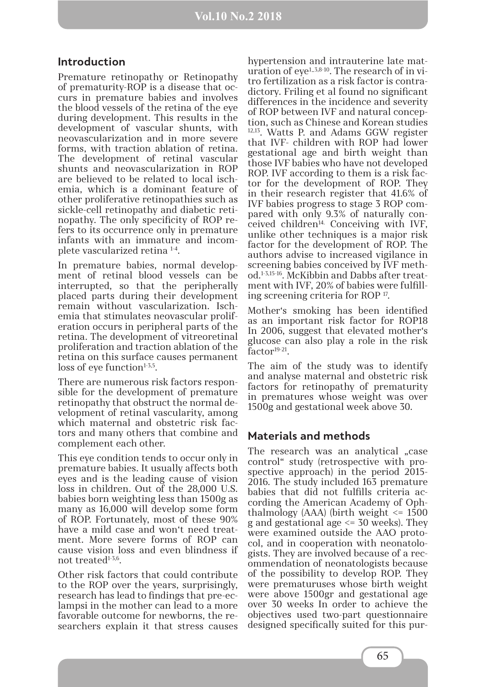#### **Introduction**

Premature retinopathy or Retinopathy of prematurity-ROP is a disease that occurs in premature babies and involves the blood vessels of the retina of the eye during development. This results in the development of vascular shunts, with neovascularization and in more severe forms, with traction ablation of retina. The development of retinal vascular shunts and neovascularization in ROP are believed to be related to local ischemia, which is a dominant feature of other proliferative retinopathies such as sickle-cell retinopathy and diabetic retinopathy. The only specificity of ROP refers to its occurrence only in premature infants with an immature and incomplete vascularized retina 1-4.

In premature babies, normal development of retinal blood vessels can be interrupted, so that the peripherally placed parts during their development remain without vascularization. Ischemia that stimulates neovascular proliferation occurs in peripheral parts of the retina. The development of vitreoretinal proliferation and traction ablation of the retina on this surface causes permanent loss of eye function $1-3,5$ .

There are numerous risk factors responsible for the development of premature retinopathy that obstruct the normal development of retinal vascularity, among which maternal and obstetric risk factors and many others that combine and complement each other.

This eye condition tends to occur only in premature babies. It usually affects both eyes and is the leading cause of vision loss in children. Out of the 28,000 U.S. babies born weighting less than 1500g as many as 16,000 will develop some form of ROP. Fortunately, most of these 90% have a mild case and won't need treatment. More severe forms of ROP can cause vision loss and even blindness if not treated1-3,6.

Other risk factors that could contribute to the ROP over the years, surprisingly, research has lead to findings that pre-eclampsi in the mother can lead to a more favorable outcome for newborns, the researchers explain it that stress causes

hypertension and intrauterine late maturation of  $eye^{1.3,8.10}$ . The research of in vitro fertilization as a risk factor is contradictory. Friling et al found no significant differences in the incidence and severity of ROP between IVF and natural conception, such as Chinese and Korean studies 12,13. Watts P. and Adams GGW register that IVF- children with ROP had lower gestational age and birth weight than those IVF babies who have not developed ROP. IVF according to them is a risk factor for the development of ROP. They in their research register that 41.6% of IVF babies progress to stage 3 ROP compared with only 9.3% of naturally conceived children<sup>14.</sup> Conceiving with IVF, unlike other techniques is a major risk factor for the development of ROP. The authors advise to increased vigilance in screening babies conceived by IVF method.1-3,15-16. McKibbin and Dabbs after treatment with IVF, 20% of babies were fulfilling screening criteria for ROP 17.

Mother's smoking has been identified as an important risk factor for ROP18 In 2006, suggest that elevated mother's glucose can also play a role in the risk factor<sup>19-21</sup>.

The aim of the study was to identify and analyse maternal and obstetric risk factors for retinopathy of prematurity in prematures whose weight was over 1500g and gestational week above 30.

### **Materials and methods**

The research was an analytical "case control" study (retrospective with prospective approach) in the period 2015- 2016. The study included 163 premature babies that did not fulfills criteria according the American Academy of Ophthalmology (AAA) (birth weight  $\leq$  1500 g and gestational age <= 30 weeks). They were examined outside the AAO protocol, and in cooperation with neonatologists. Тhey are involved because of a recommendation of neonatologists because of the possibility to develop ROP. They were prematuruses whose birth weight were above 1500gr and gestational age over 30 weeks In order to achieve the objectives used two-part questionnaire designed specifically suited for this pur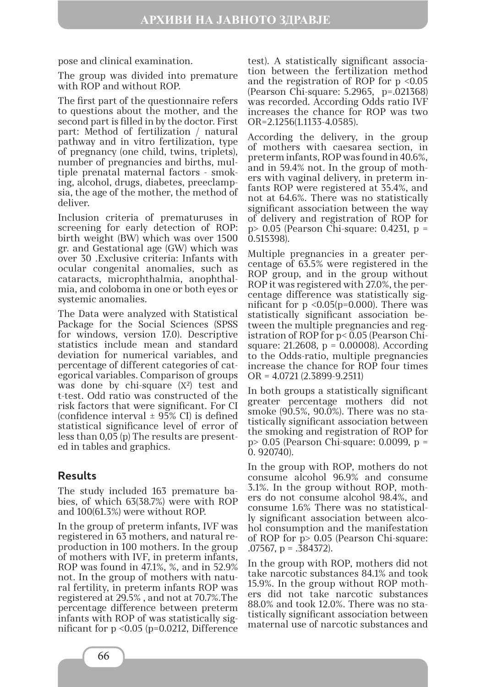pose and clinical examination.

The group was divided into premature with ROP and without ROP.

The first part of the questionnaire refers to questions about the mother, and the second part is filled in by the doctor. First part: Method of fertilization / natural pathway and in vitro fertilization, type of pregnancy (one child, twins, triplets), number of pregnancies and births, multiple prenatal maternal factors - smoking, alcohol, drugs, diabetes, preeclampsia, the age of the mother, the method of deliver.

Inclusion criteria of prematuruses in screening for early detection of ROP: birth weight (BW) which was over 1500 gr. and Gestational age (GW) which was over 30 .Exclusive criteria: Infants with ocular congenital anomalies, such as cataracts, microphthalmia, anophthalmia, and coloboma in one or both eyes or systemic anomalies.

The Data were analyzed with Statistical Package for the Social Sciences (SPSS for windows, version 17.0). Descriptive statistics include mean and standard deviation for numerical variables, and percentage of different categories of categorical variables. Comparison of groups was done by chi-square  $(X^2)$  test and t-test. Odd ratio was constructed of the risk factors that were significant. For CI (confidence interval  $\pm$  95% CI) is defined statistical significance level of error of less than 0,05 (p) The results are presented in tables and graphics.

### **Results**

The study included 163 premature babies, of which 63(38.7%) were with ROP and 100(61.3%) were without ROP.

In the group of preterm infants, IVF was registered in 63 mothers, and natural reproduction in 100 mothers. In the group of mothers with IVF, in preterm infants, ROP was found in 47.1%, %, and in 52.9% not. In the group of mothers with natural fertility, in preterm infants ROP was registered at 29.5% , and not at 70.7%.The percentage difference between preterm infants with ROP of was statistically significant for p <0.05 (p=0.0212, Difference

test). A statistically significant association between the fertilization method and the registration of ROP for  $p \leq 0.05$ (Pearson Chi-square: 5.2965, p=.021368) was recorded. According Odds ratio IVF increases the chance for ROP was two OR=2.1256(1.1133-4.0585).

According the delivery, in the group of mothers with caesarea section, in preterm infants, ROP was found in 40.6%, and in 59.4% not. In the group of mothers with vaginal delivery, in preterm infants ROP were registered at 35.4%, and not at 64.6%. There was no statistically significant association between the way of delivery and registration of ROP for p> 0.05 (Pearson Chi-square: 0.4231, p = 0.515398).

Multiple pregnancies in a greater percentage of 63.5% were registered in the ROP group, and in the group without ROP it was registered with 27.0%, the percentage difference was statistically significant for  $p \le 0.05(p=0.000)$ . There was statistically significant association between the multiple pregnancies and registration of ROP for p< 0.05 (Pearson Chisquare: 21.2608, p = 0.00008). According to the Odds-ratio, multiple pregnancies increase the chance for ROP four times OR = 4.0721 (2.3899-9.2511)

In both groups a statistically significant greater percentage mothers did not smoke (90.5%, 90.0%). There was no statistically significant association between the smoking and registration of ROP for p> 0.05 (Pearson Chi-square: 0.0099, p = 0. 920740).

In the group with ROP, mothers do not consume alcohol 96.9% and consume 3.1%. In the group without ROP, mothers do not consume alcohol 98.4%, and consume 1.6% There was no statistically significant association between alcohol consumption and the manifestation of ROP for p> 0.05 (Pearson Chi-square:  $.07567$ , p =  $.384372$ ).

In the group with ROP, mothers did not take narcotic substances 84.1% and took 15.9%. In the group without ROP mothers did not take narcotic substances 88.0% and took 12.0%. There was no statistically significant association between maternal use of narcotic substances and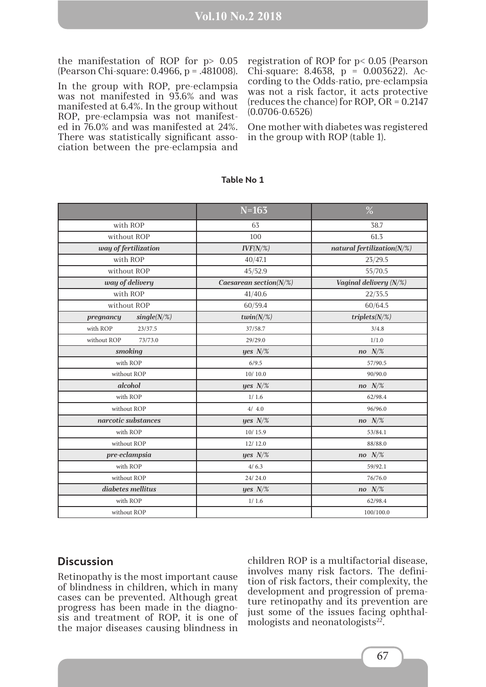the manifestation of ROP for p> 0.05 (Pearson Chi-square: 0.4966, p = .481008).

In the group with ROP, pre-eclampsia was not manifested in 93.6% and was manifested at 6.4%. In the group without ROP, pre-eclampsia was not manifested in 76.0% and was manifested at 24%. There was statistically significant association between the pre-eclampsia and

registration of ROP for p< 0.05 (Pearson Chi-square: 8.4638, p = 0.003622). According to the Odds-ratio, pre-eclampsia was not a risk factor, it acts protective (reduces the chance) for ROP, OR = 0.2147 (0.0706-0.6526)

One mother with diabetes was registered in the group with ROP (table 1).

|                             | $N = 163$                    | $\%$                           |
|-----------------------------|------------------------------|--------------------------------|
| with ROP                    | 63                           | 38.7                           |
| without ROP                 | 100                          | 61.3                           |
| way of fertilization        | $IVF(N/\%)$                  | natural fertilization( $N/\%)$ |
| with ROP                    | 40/47.1                      | 23/29.5                        |
| without ROP                 | 45/52.9                      | 55/70.5                        |
| way of delivery             | Caesarean section( $N\!/\%)$ | Vaginal delivery (N/%)         |
| with ROP                    | 41/40.6                      | 22/35.5                        |
| without ROP                 | 60/59.4                      | 60/64.5                        |
| $single(N/\%)$<br>pregnancy | twin( $N/\%)$                | $triplets(N/\%)$               |
| with ROP<br>23/37.5         | 37/58.7                      | 3/4.8                          |
| without ROP<br>73/73.0      | 29/29.0                      | 1/1.0                          |
| smoking                     | yes $N\!/\%$                 | no $N\!/\%$                    |
| with ROP                    | 6/9.5                        | 57/90.5                        |
| without ROP                 | 10/10.0                      | 90/90.0                        |
| alcohol                     | yes $N\!/\%$                 | no $N\!/\%$                    |
| with ROP                    | 1/1.6                        | 62/98.4                        |
| without ROP                 | 4/4.0                        | 96/96.0                        |
| narcotic substances         | yes $N\!$ %                  | no $N\!/\%$                    |
| with ROP                    | 10/15.9                      | 53/84.1                        |
| without ROP                 | 12/12.0                      | 88/88.0                        |
| pre-eclampsia               | yes $N\!/\%$                 | no $N/\%$                      |
| with ROP                    | 4/6.3                        | 59/92.1                        |
| without ROP                 | 24/24.0                      | 76/76.0                        |
| diabetes mellitus           | yes $N\!/\%$                 | no $N/\%$                      |
| with ROP                    | 1/1.6                        | 62/98.4                        |
| without ROP                 |                              | 100/100.0                      |

#### **Table No 1**

#### **Discussion**

Retinopathy is the most important cause of blindness in children, which in many cases can be prevented. Although great progress has been made in the diagnosis and treatment of ROP, it is one of the major diseases causing blindness in

children ROP is a multifactorial disease, involves many risk factors. The definition of risk factors, their complexity, the development and progression of premature retinopathy and its prevention are just some of the issues facing ophthalmologists and neonatologists $22$ .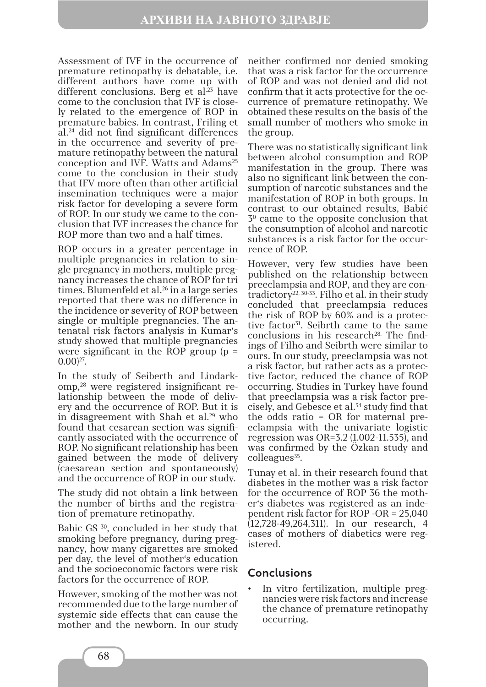Assessment of IVF in the occurrence of premature retinopathy is debatable, i.e. different authors have come up with different conclusions. Berg et al. $23$  have come to the conclusion that IVF is closely related to the emergence of ROP in premature babies. In contrast, Friling et al.24 did not find significant differences in the occurrence and severity of premature retinopathy between the natural conception and IVF. Watts and Adams<sup>25</sup> come to the conclusion in their study that IFV more often than other artificial insemination techniques were a major risk factor for developing a severe form of ROP. In our study we came to the conclusion that IVF increases the chance for ROP more than two and a half times.

ROP occurs in a greater percentage in multiple pregnancies in relation to single pregnancy in mothers, multiple pregnancy increases the chance of ROP for tri times. Blumenfeld et al.<sup>26</sup> in a large series reported that there was no difference in the incidence or severity of ROP between single or multiple pregnancies. The antenatal risk factors analysis in Kumar's study showed that multiple pregnancies were significant in the ROP group  $(p =$  $(0.00)^{27}$ .

In the study of Seiberth and Lindarkomp,28 were registered insignificant relationship between the mode of delivery and the occurrence of ROP. But it is in disagreement with Shah et al.29 who found that cesarean section was significantly associated with the occurrence of ROP. No significant relationship has been gained between the mode of delivery (caesarean section and spontaneously) and the occurrence of ROP in our study.

The study did not obtain a link between the number of births and the registration of premature retinopathy.

Babic GS 30, concluded in her study that smoking before pregnancy, during pregnancy, how many cigarettes are smoked per day, the level of mother's education and the socioeconomic factors were risk factors for the occurrence of ROP.

However, smoking of the mother was not recommended due to the large number of systemic side effects that can cause the mother and the newborn. In our study

neither confirmed nor denied smoking that was a risk factor for the occurrence of ROP and was not denied and did not confirm that it acts protective for the occurrence of premature retinopathy. We obtained these results on the basis of the small number of mothers who smoke in the group.

There was no statistically significant link between alcohol consumption and ROP manifestation in the group. There was also no significant link between the consumption of narcotic substances and the manifestation of ROP in both groups. In contrast to our obtained results, Babić 30 came to the opposite conclusion that the consumption of alcohol and narcotic substances is a risk factor for the occurrence of ROP.

However, very few studies have been published on the relationship between preeclampsia and ROP, and they are contradictory<sup>22, 30-33</sup>. Filho et al. in their study concluded that preeclampsia reduces the risk of ROP by 60% and is a protective factor<sup>31</sup>. Seibrth came to the same  $conclusions$  in his research<sup>28.</sup> The findings of Filho and Seibrth were similar to ours. In our study, preeclampsia was not a risk factor, but rather acts as a protective factor, reduced the chance of ROP occurring. Studies in Turkey have found that preeclampsia was a risk factor precisely, and Gebesce et al.34 study find that the odds ratio = OR for maternal preeclampsia with the univariate logistic regression was OR=3.2 (1.002-11.535), and was confirmed by the Özkan study and  $\text{colleagues}^{35}$ .

Tunay et al. in their research found that diabetes in the mother was a risk factor for the occurrence of ROP 36 the mother's diabetes was registered as an independent risk factor for ROP -OR = 25,040 (12,728-49,264,311). In our research, 4 cases of mothers of diabetics were registered.

### **Conclusions**

In vitro fertilization, multiple pregnancies were risk factors and increase the chance of premature retinopathy occurring.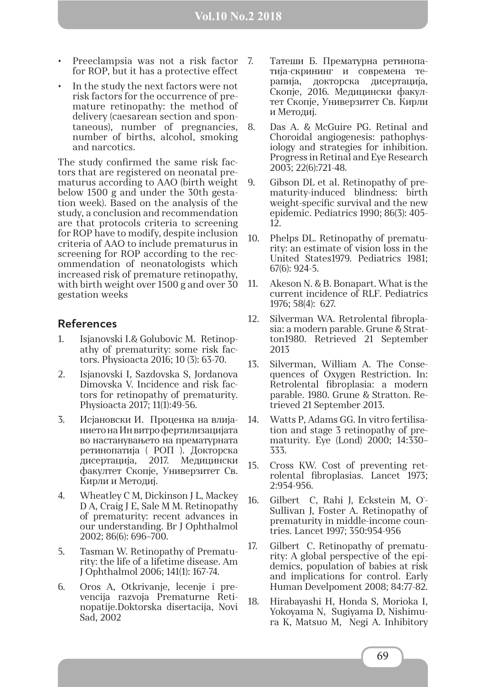- Preeclampsia was not a risk factor 7. for ROP, but it has a protective effect
- In the study the next factors were not risk factors for the occurrence of premature retinopathy: the method of delivery (caesarean section and spontaneous), number of pregnancies, number of births, alcohol, smoking and narcotics.

The study confirmed the same risk factors that are registered on neonatal prematurus according to AАО (birth weight below 1500 g and under the 30th gestation week). Based on the analysis of the study, a conclusion and recommendation are that protocols criteria to screening for ROP have to modify, despite inclusion criteria of AAО to include prematurus in screening for ROP according to the recommendation of neonatologists which increased risk of premature retinopathy, with birth weight over 1500 g and over 30 gestation weeks

## **References**

- 1. Isjanovski I.& Golubovic M. Retinopathy of prematurity: some risk factors. Physioacta 2016; 10 (3): 63-70.
- 2. Isjanovski I, Sazdovska S, Jordanova Dimovska V. Incidence and risk factors for retinopathy of prematurity. Physioacta 2017; 11(1):49-56.
- 3. Исјановски И. Проценка на влијанието на Ин витро фертилизацијата во настанувањето на прематурната ретинопатија ( РОП ). Докторска дисертација, 2017. Медицински факултет Скопје, Универзитет Св. Кирли и Методиј.
- 4. Wheatley C M, Dickinson J L, Mackey D A, Craig J E, Sale M M. Retinopathy of prematurity: recent advances in our understanding. Br J Ophthalmol 2002; 86(6): 696–700.
- 5. Tasman W. Retinopathy of Prematurity: the life of a lifetime disease. Am J Ophthalmol 2006; 141(1): 167-74.
- 6. Oros А, Otkrivanje, lecenje i prevencija razvoja Prematurne Retinopatije.Doktorska disertacija, Novi Sad, 2002
- 7. Татеши Б. Прематурна ретинопатија-скрининг и современа терапија, докторска дисертација, Скопје, 2016. Медицински факултет Скопје, Универзитет Св. Кирли и Методиј.
- 8. Das A. & McGuire PG. Retinal and Choroidal angiogenesis: pathophysiology and strategies for inhibition. Progress in Retinal and Eye Research 2003; 22(6):721-48.
- 9. Gibson DL et al. Retinopathy of prematurity-induced blindness: birth weight-specific survival and the new epidemic. Pediatrics 1990; 86(3): 405- 12.
- 10. Phelps DL. Retinopathy of prematurity: an estimate of vision loss in the United States1979. Pediatrics 1981; 67(6): 924-5.
- 11. Akeson N. & B. Bonapart. What is the current incidence of RLF. Pediatrics 1976; 58(4): 627.
- 12. Silverman WA. Retrolental fibroplasia: a modern parable. Grune & Stratton1980. Retrieved 21 September 2013
- 13. Silverman, William A. The Consequences of Oxygen Restriction. In: Retrolental fibroplasia: a modern parable. 1980. Grune & Stratton. Retrieved 21 September 2013.
- 14. Watts P, Adams GG. In vitro fertilisation and stage 3 retinopathy of prematurity. Eye (Lond) 2000; 14:330– 333.
- 15. Cross KW. Cost of preventing retrolental fibroplasias. Lancet 1973; 2:954-956.
- 16. Gilbert C, Rahi J, Eckstein M, O`- Sullivan J, Foster A. Retinopathy of prematurity in middle-income countries. Lancet 1997; 350:954-956
- 17. Gilbert C. Retinopathy of prematurity: A global perspective of the epidemics, population of babies at risk and implications for control. Early Human Develpoment 2008; 84:77-82.
- 18. Hirabayashi H, Honda S, Morioka I, Yokoyama N, Sugiyama D, Nishimura K, Matsuo M, Negi A. Inhibitory